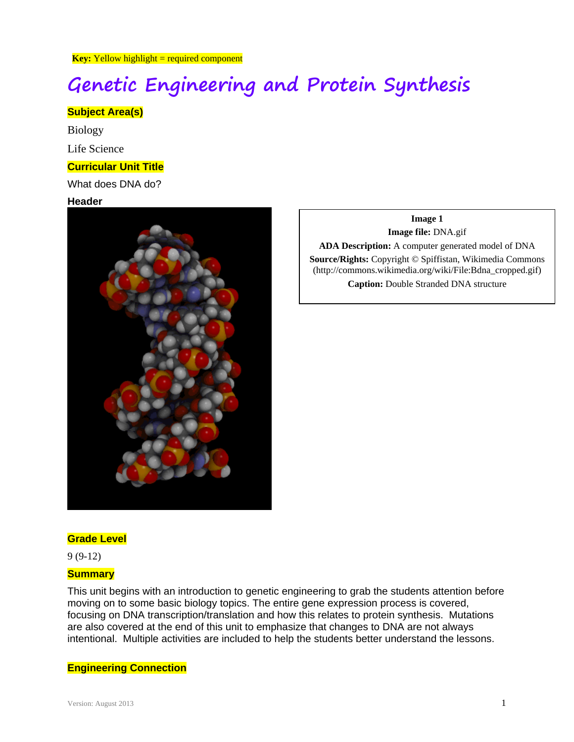# **Genetic Engineering and Protein Synthesis**

# **Subject Area(s)**

Biology

Life Science

# **Curricular Unit Title**

What does DNA do?

## **Header**



**Image 1 Image file:** DNA.gif **ADA Description:** A computer generated model of DNA **Source/Rights:** Copyright © Spiffistan, Wikimedia Commons (http://commons.wikimedia.org/wiki/File:Bdna\_cropped.gif) **Caption:** Double Stranded DNA structure

## **Grade Level**

9 (9-12)

## **Summary**

This unit begins with an introduction to genetic engineering to grab the students attention before moving on to some basic biology topics. The entire gene expression process is covered, focusing on DNA transcription/translation and how this relates to protein synthesis. Mutations are also covered at the end of this unit to emphasize that changes to DNA are not always intentional. Multiple activities are included to help the students better understand the lessons.

## **Engineering Connection**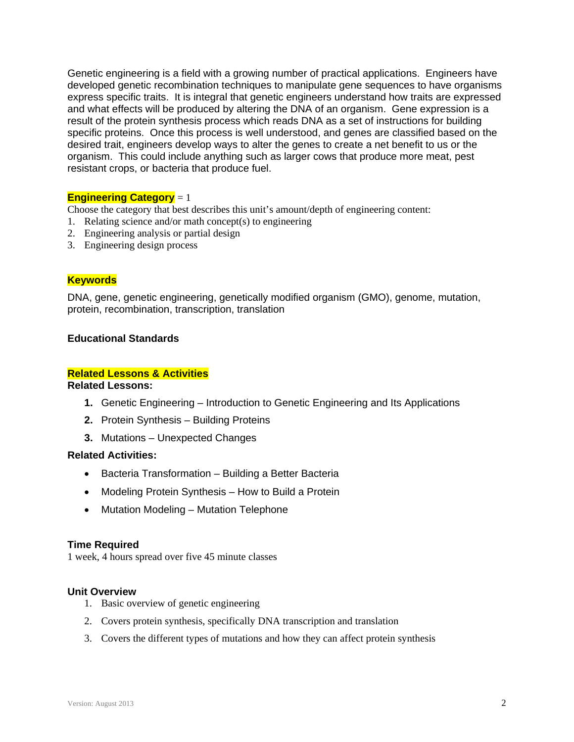Genetic engineering is a field with a growing number of practical applications. Engineers have developed genetic recombination techniques to manipulate gene sequences to have organisms express specific traits. It is integral that genetic engineers understand how traits are expressed and what effects will be produced by altering the DNA of an organism. Gene expression is a result of the protein synthesis process which reads DNA as a set of instructions for building specific proteins. Once this process is well understood, and genes are classified based on the desired trait, engineers develop ways to alter the genes to create a net benefit to us or the organism. This could include anything such as larger cows that produce more meat, pest resistant crops, or bacteria that produce fuel.

## **Engineering Category** = 1

Choose the category that best describes this unit's amount/depth of engineering content:

- 1. Relating science and/or math concept(s) to engineering
- 2. Engineering analysis or partial design
- 3. Engineering design process

# **Keywords**

DNA, gene, genetic engineering, genetically modified organism (GMO), genome, mutation, protein, recombination, transcription, translation

#### **Educational Standards**

#### **Related Lessons & Activities**

#### **Related Lessons:**

- **1.** Genetic Engineering Introduction to Genetic Engineering and Its Applications
- **2.** Protein Synthesis Building Proteins
- **3.** Mutations Unexpected Changes

#### **Related Activities:**

- Bacteria Transformation Building a Better Bacteria
- Modeling Protein Synthesis How to Build a Protein
- Mutation Modeling Mutation Telephone

#### **Time Required**

1 week, 4 hours spread over five 45 minute classes

#### **Unit Overview**

- 1. Basic overview of genetic engineering
- 2. Covers protein synthesis, specifically DNA transcription and translation
- 3. Covers the different types of mutations and how they can affect protein synthesis